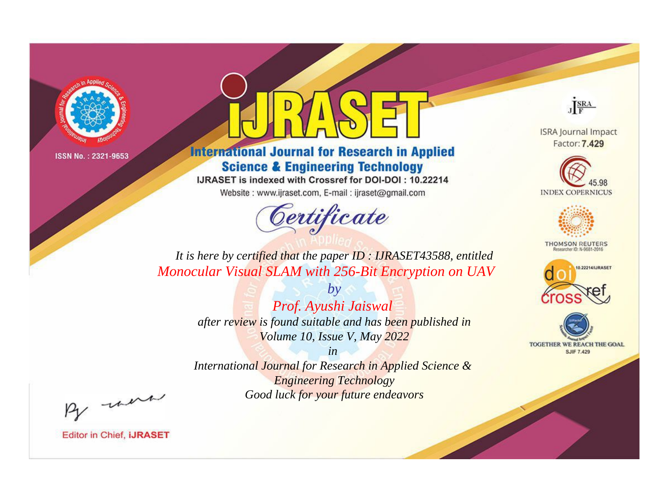



**International Journal for Research in Applied Science & Engineering Technology** 

IJRASET is indexed with Crossref for DOI-DOI: 10.22214

Website: www.ijraset.com, E-mail: ijraset@gmail.com



JERA

**ISRA Journal Impact** Factor: 7.429





**THOMSON REUTERS** 



TOGETHER WE REACH THE GOAL **SJIF 7.429** 

*It is here by certified that the paper ID : IJRASET43588, entitled Monocular Visual SLAM with 256-Bit Encryption on UAV*

> *by Prof. Ayushi Jaiswal after review is found suitable and has been published in Volume 10, Issue V, May 2022*

> > *in*

*International Journal for Research in Applied Science & Engineering Technology Good luck for your future endeavors*

By morn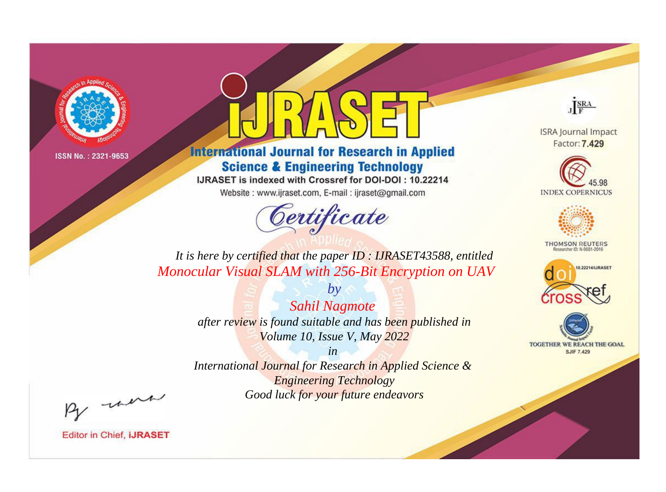



**International Journal for Research in Applied Science & Engineering Technology** 

IJRASET is indexed with Crossref for DOI-DOI: 10.22214

Website: www.ijraset.com, E-mail: ijraset@gmail.com



JERA

**ISRA Journal Impact** Factor: 7.429





**THOMSON REUTERS** 



TOGETHER WE REACH THE GOAL **SJIF 7.429** 

*It is here by certified that the paper ID : IJRASET43588, entitled Monocular Visual SLAM with 256-Bit Encryption on UAV*

> *by Sahil Nagmote after review is found suitable and has been published in Volume 10, Issue V, May 2022*

> > *in*

*International Journal for Research in Applied Science & Engineering Technology Good luck for your future endeavors*

By morn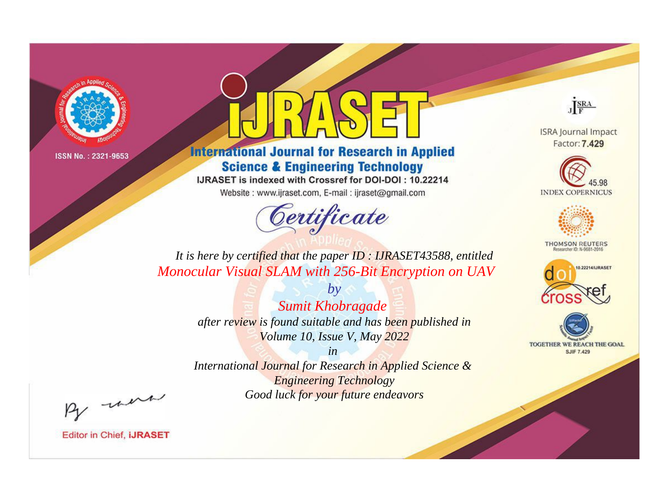

## **International Journal for Research in Applied Science & Engineering Technology**

IJRASET is indexed with Crossref for DOI-DOI: 10.22214

Website: www.ijraset.com, E-mail: ijraset@gmail.com



JERA

**ISRA Journal Impact** Factor: 7.429





**THOMSON REUTERS** 



TOGETHER WE REACH THE GOAL **SJIF 7.429** 

*It is here by certified that the paper ID : IJRASET43588, entitled Monocular Visual SLAM with 256-Bit Encryption on UAV*

> *by Sumit Khobragade after review is found suitable and has been published in Volume 10, Issue V, May 2022*

> > *in*

*International Journal for Research in Applied Science & Engineering Technology Good luck for your future endeavors*

By morn